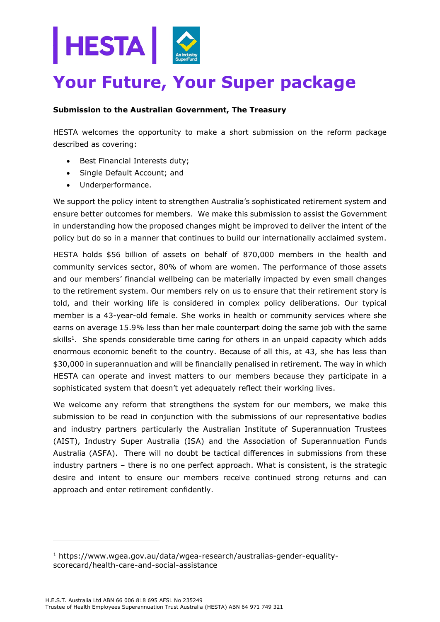

# **Your Future, Your Super package**

## **Submission to the Australian Government, The Treasury**

HESTA welcomes the opportunity to make a short submission on the reform package described as covering:

- Best Financial Interests duty;
- Single Default Account; and
- Underperformance.

We support the policy intent to strengthen Australia's sophisticated retirement system and ensure better outcomes for members. We make this submission to assist the Government in understanding how the proposed changes might be improved to deliver the intent of the policy but do so in a manner that continues to build our internationally acclaimed system.

HESTA holds \$56 billion of assets on behalf of 870,000 members in the health and community services sector, 80% of whom are women. The performance of those assets and our members' financial wellbeing can be materially impacted by even small changes to the retirement system. Our members rely on us to ensure that their retirement story is told, and their working life is considered in complex policy deliberations. Our typical member is a 43-year-old female. She works in health or community services where she earns on average 15.9% less than her male counterpart doing the same job with the same skills<sup>1</sup>. She spends considerable time caring for others in an unpaid capacity which adds enormous economic benefit to the country. Because of all this, at 43, she has less than \$30,000 in superannuation and will be financially penalised in retirement. The way in which HESTA can operate and invest matters to our members because they participate in a sophisticated system that doesn't yet adequately reflect their working lives.

We welcome any reform that strengthens the system for our members, we make this submission to be read in conjunction with the submissions of our representative bodies and industry partners particularly the Australian Institute of Superannuation Trustees (AIST), Industry Super Australia (ISA) and the Association of Superannuation Funds Australia (ASFA). There will no doubt be tactical differences in submissions from these industry partners – there is no one perfect approach. What is consistent, is the strategic desire and intent to ensure our members receive continued strong returns and can approach and enter retirement confidently.

<sup>1</sup> https://www.wgea.gov.au/data/wgea-research/australias-gender-equalityscorecard/health-care-and-social-assistance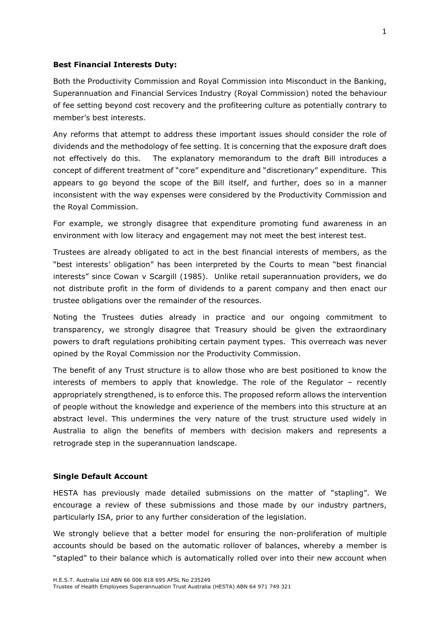### **Best Financial Interests Duty:**

Both the Productivity Commission and Royal Commission into Misconduct in the Banking, Superannuation and Financial Services Industry (Royal Commission) noted the behaviour of fee setting beyond cost recovery and the profiteering culture as potentially contrary to member's best interests.

Any reforms that attempt to address these important issues should consider the role of dividends and the methodology of fee setting. It is concerning that the exposure draft does not effectively do this. The explanatory memorandum to the draft Bill introduces a concept of different treatment of "core" expenditure and "discretionary" expenditure. This appears to go beyond the scope of the Bill itself, and further, does so in a manner inconsistent with the way expenses were considered by the Productivity Commission and the Royal Commission.

For example, we strongly disagree that expenditure promoting fund awareness in an environment with low literacy and engagement may not meet the best interest test.

Trustees are already obligated to act in the best financial interests of members, as the "best interests' obligation" has been interpreted by the Courts to mean "best financial interests" since Cowan v Scargill (1985). Unlike retail superannuation providers, we do not distribute profit in the form of dividends to a parent company and then enact our trustee obligations over the remainder of the resources.

Noting the Trustees duties already in practice and our ongoing commitment to transparency, we strongly disagree that Treasury should be given the extraordinary powers to draft regulations prohibiting certain payment types. This overreach was never opined by the Royal Commission nor the Productivity Commission.

The benefit of any Trust structure is to allow those who are best positioned to know the interests of members to apply that knowledge. The role of the Regulator – recently appropriately strengthened, is to enforce this. The proposed reform allows the intervention of people without the knowledge and experience of the members into this structure at an abstract level. This undermines the very nature of the trust structure used widely in Australia to align the benefits of members with decision makers and represents a retrograde step in the superannuation landscape.

#### **Single Default Account**

HESTA has previously made detailed submissions on the matter of "stapling". We encourage a review of these submissions and those made by our industry partners, particularly ISA, prior to any further consideration of the legislation.

We strongly believe that a better model for ensuring the non-proliferation of multiple accounts should be based on the automatic rollover of balances, whereby a member is "stapled" to their balance which is automatically rolled over into their new account when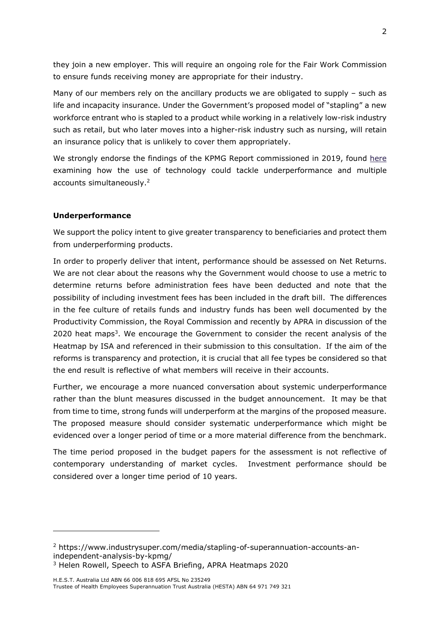they join a new employer. This will require an ongoing role for the Fair Work Commission to ensure funds receiving money are appropriate for their industry.

Many of our members rely on the ancillary products we are obligated to supply – such as life and incapacity insurance. Under the Government's proposed model of "stapling" a new workforce entrant who is stapled to a product while working in a relatively low-risk industry such as retail, but who later moves into a higher-risk industry such as nursing, will retain an insurance policy that is unlikely to cover them appropriately.

We strongly endorse the findings of the KPMG Report commissioned in 2019, found [here](https://www.industrysuper.com/media/stapling-of-superannuation-accounts-an-independent-analysis-by-kpmg/) examining how the use of technology could tackle underperformance and multiple accounts simultaneously.<sup>2</sup>

## **Underperformance**

We support the policy intent to give greater transparency to beneficiaries and protect them from underperforming products.

In order to properly deliver that intent, performance should be assessed on Net Returns. We are not clear about the reasons why the Government would choose to use a metric to determine returns before administration fees have been deducted and note that the possibility of including investment fees has been included in the draft bill. The differences in the fee culture of retails funds and industry funds has been well documented by the Productivity Commission, the Royal Commission and recently by APRA in discussion of the 2020 heat maps<sup>3</sup>. We encourage the Government to consider the recent analysis of the Heatmap by ISA and referenced in their submission to this consultation. If the aim of the reforms is transparency and protection, it is crucial that all fee types be considered so that the end result is reflective of what members will receive in their accounts.

Further, we encourage a more nuanced conversation about systemic underperformance rather than the blunt measures discussed in the budget announcement. It may be that from time to time, strong funds will underperform at the margins of the proposed measure. The proposed measure should consider systematic underperformance which might be evidenced over a longer period of time or a more material difference from the benchmark.

The time period proposed in the budget papers for the assessment is not reflective of contemporary understanding of market cycles. Investment performance should be considered over a longer time period of 10 years.

3 Helen Rowell, Speech to ASFA Briefing, APRA Heatmaps 2020

<sup>2</sup> https://www.industrysuper.com/media/stapling-of-superannuation-accounts-anindependent-analysis-by-kpmg/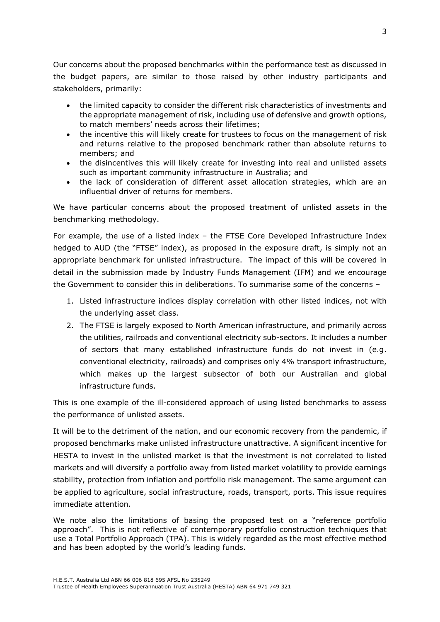Our concerns about the proposed benchmarks within the performance test as discussed in the budget papers, are similar to those raised by other industry participants and stakeholders, primarily:

- the limited capacity to consider the different risk characteristics of investments and the appropriate management of risk, including use of defensive and growth options, to match members' needs across their lifetimes;
- the incentive this will likely create for trustees to focus on the management of risk and returns relative to the proposed benchmark rather than absolute returns to members; and
- the disincentives this will likely create for investing into real and unlisted assets such as important community infrastructure in Australia; and
- the lack of consideration of different asset allocation strategies, which are an influential driver of returns for members.

We have particular concerns about the proposed treatment of unlisted assets in the benchmarking methodology.

For example, the use of a listed index – the FTSE Core Developed Infrastructure Index hedged to AUD (the "FTSE" index), as proposed in the exposure draft, is simply not an appropriate benchmark for unlisted infrastructure. The impact of this will be covered in detail in the submission made by Industry Funds Management (IFM) and we encourage the Government to consider this in deliberations. To summarise some of the concerns –

- 1. Listed infrastructure indices display correlation with other listed indices, not with the underlying asset class.
- 2. The FTSE is largely exposed to North American infrastructure, and primarily across the utilities, railroads and conventional electricity sub-sectors. It includes a number of sectors that many established infrastructure funds do not invest in (e.g. conventional electricity, railroads) and comprises only 4% transport infrastructure, which makes up the largest subsector of both our Australian and global infrastructure funds.

This is one example of the ill-considered approach of using listed benchmarks to assess the performance of unlisted assets.

It will be to the detriment of the nation, and our economic recovery from the pandemic, if proposed benchmarks make unlisted infrastructure unattractive. A significant incentive for HESTA to invest in the unlisted market is that the investment is not correlated to listed markets and will diversify a portfolio away from listed market volatility to provide earnings stability, protection from inflation and portfolio risk management. The same argument can be applied to agriculture, social infrastructure, roads, transport, ports. This issue requires immediate attention.

We note also the limitations of basing the proposed test on a "reference portfolio approach". This is not reflective of contemporary portfolio construction techniques that use a Total Portfolio Approach (TPA). This is widely regarded as the most effective method and has been adopted by the world's leading funds.